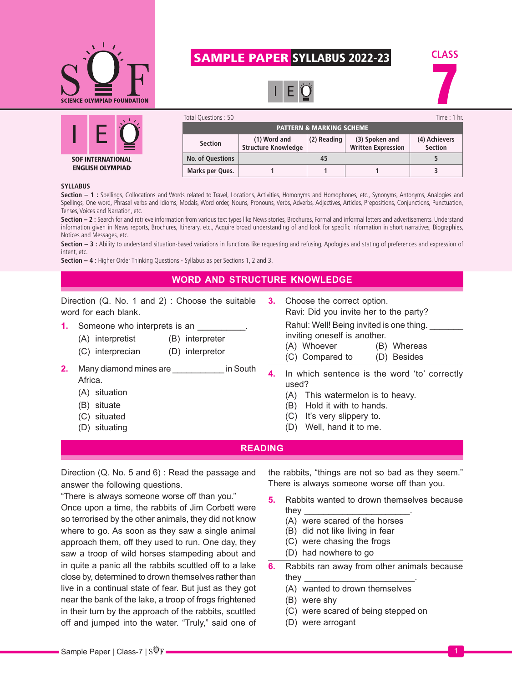

# SAMPLE PAPER SYLLABUS 2022-23







| Total Questions: 50                 |                                            |             |                                             | Time : $1$ hr.                  |  |  |
|-------------------------------------|--------------------------------------------|-------------|---------------------------------------------|---------------------------------|--|--|
| <b>PATTERN &amp; MARKING SCHEME</b> |                                            |             |                                             |                                 |  |  |
| <b>Section</b>                      | (1) Word and<br><b>Structure Knowledge</b> | (2) Reading | (3) Spoken and<br><b>Written Expression</b> | (4) Achievers<br><b>Section</b> |  |  |
| <b>No. of Questions</b>             |                                            | 45          |                                             |                                 |  |  |
| Marks per Ques.                     |                                            |             |                                             |                                 |  |  |

#### **SYLLABUS**

Section - 1 : Spellings, Collocations and Words related to Travel, Locations, Activities, Homonyms and Homophones, etc., Synonyms, Antonyms, Analogies and Spellings, One word, Phrasal verbs and Idioms, Modals, Word order, Nouns, Pronouns, Verbs, Adverbs, Adjectives, Articles, Prepositions, Conjunctions, Punctuation, Tenses, Voices and Narration, etc.

**Section – 2 :** Search for and retrieve information from various text types like News stories, Brochures, Formal and informal letters and advertisements. Understand information given in News reports, Brochures, Itinerary, etc., Acquire broad understanding of and look for specific information in short narratives, Biographies, Notices and Messages, etc.

Section - 3 : Ability to understand situation-based variations in functions like requesting and refusing, Apologies and stating of preferences and expression of intent, etc.

**Section – 4 :** Higher Order Thinking Questions - Syllabus as per Sections 1, 2 and 3.

### **WORD AND STRUCTURE KNOWLEDGE**

Direction (Q. No. 1 and 2) : Choose the suitable word for each blank.

- **1.** Someone who interprets is an \_\_\_\_\_
	- (A) interpretist (B) interpreter
	- (C) interprecian (D) interpretor
- **2.** Many diamond mines are \_\_\_\_\_\_\_\_\_\_\_ in South Africa.
	- (A) situation
	- (B) situate
	- (C) situated
	- (D) situating
- **3.** Choose the correct option. Ravi: Did you invite her to the party? Rahul: Well! Being invited is one thing. inviting oneself is another. (A) Whoever (B) Whereas (C) Compared to (D) Besides
- **4.** In which sentence is the word 'to' correctly used?
	- (A) This watermelon is to heavy.
	- (B) Hold it with to hands.
	- (C) It's very slippery to.
	- (D) Well, hand it to me.

#### **READING**

Direction (Q. No. 5 and 6) : Read the passage and answer the following questions.

"There is always someone worse off than you."

Once upon a time, the rabbits of Jim Corbett were so terrorised by the other animals, they did not know where to go. As soon as they saw a single animal approach them, off they used to run. One day, they saw a troop of wild horses stampeding about and in quite a panic all the rabbits scuttled off to a lake close by, determined to drown themselves rather than live in a continual state of fear. But just as they got near the bank of the lake, a troop of frogs frightened in their turn by the approach of the rabbits, scuttled off and jumped into the water. "Truly," said one of the rabbits, "things are not so bad as they seem." There is always someone worse off than you.

- **5.** Rabbits wanted to drown themselves because they \_\_\_\_\_\_\_\_\_\_\_\_\_\_\_\_\_\_\_\_\_\_.
	- (A) were scared of the horses
	- (B) did not like living in fear
	- (C) were chasing the frogs
	- (D) had nowhere to go
- **6.** Rabbits ran away from other animals because they \_\_\_\_\_\_\_\_\_\_\_\_\_\_\_\_\_\_\_\_\_\_\_.
	- (A) wanted to drown themselves
	- (B) were shy
	- (C) were scared of being stepped on
	- (D) were arrogant